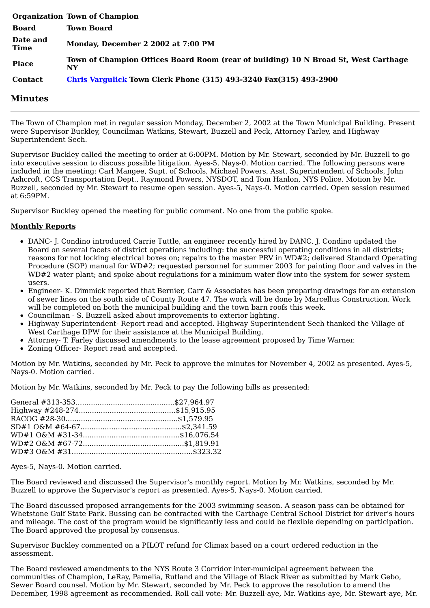|                  | <b>Organization Town of Champion</b>                                                      |
|------------------|-------------------------------------------------------------------------------------------|
| <b>Board</b>     | <b>Town Board</b>                                                                         |
| Date and<br>Time | Monday, December 2 2002 at 7:00 PM                                                        |
| <b>Place</b>     | Town of Champion Offices Board Room (rear of building) 10 N Broad St, West Carthage<br>NY |
| <b>Contact</b>   | <b>Chris Vargulick Town Clerk Phone (315) 493-3240 Fax(315) 493-2900</b>                  |

## **Minutes**

The Town of Champion met in regular session Monday, December 2, 2002 at the Town Municipal Building. Present were Supervisor Buckley, Councilman Watkins, Stewart, Buzzell and Peck, Attorney Farley, and Highway Superintendent Sech.

Supervisor Buckley called the meeting to order at 6:00PM. Motion by Mr. Stewart, seconded by Mr. Buzzell to go into executive session to discuss possible litigation. Ayes-5, Nays-0. Motion carried. The following persons were included in the meeting: Carl Mangee, Supt. of Schools, Michael Powers, Asst. Superintendent of Schools, John Ashcroft, CCS Transportation Dept., Raymond Powers, NYSDOT, and Tom Hanlon, NYS Police. Motion by Mr. Buzzell, seconded by Mr. Stewart to resume open session. Ayes-5, Nays-0. Motion carried. Open session resumed at 6:59PM.

Supervisor Buckley opened the meeting for public comment. No one from the public spoke.

## **Monthly Reports**

- DANC- J. Condino introduced Carrie Tuttle, an engineer recently hired by DANC. J. Condino updated the Board on several facets of district operations including: the successful operating conditions in all districts; reasons for not locking electrical boxes on; repairs to the master PRV in WD#2; delivered Standard Operating Procedure (SOP) manual for WD#2; requested personnel for summer 2003 for painting floor and valves in the WD#2 water plant; and spoke about regulations for a minimum water flow into the system for sewer system users.
- Engineer- K. Dimmick reported that Bernier, Carr & Associates has been preparing drawings for an extension of sewer lines on the south side of County Route 47. The work will be done by Marcellus Construction. Work will be completed on both the municipal building and the town barn roofs this week.
- Councilman S. Buzzell asked about improvements to exterior lighting.
- Highway Superintendent- Report read and accepted. Highway Superintendent Sech thanked the Village of West Carthage DPW for their assistance at the Municipal Building.
- Attorney- T. Farley discussed amendments to the lease agreement proposed by Time Warner.  $\bullet$
- Zoning Officer- Report read and accepted.

Motion by Mr. Watkins, seconded by Mr. Peck to approve the minutes for November 4, 2002 as presented. Ayes-5, Nays-0. Motion carried.

Motion by Mr. Watkins, seconded by Mr. Peck to pay the following bills as presented:

Ayes-5, Nays-0. Motion carried.

The Board reviewed and discussed the Supervisor's monthly report. Motion by Mr. Watkins, seconded by Mr. Buzzell to approve the Supervisor's report as presented. Ayes-5, Nays-0. Motion carried.

The Board discussed proposed arrangements for the 2003 swimming season. A season pass can be obtained for Whetstone Gulf State Park. Bussing can be contracted with the Carthage Central School District for driver's hours and mileage. The cost of the program would be significantly less and could be flexible depending on participation. The Board approved the proposal by consensus.

Supervisor Buckley commented on a PILOT refund for Climax based on a court ordered reduction in the assessment.

The Board reviewed amendments to the NYS Route 3 Corridor inter-municipal agreement between the communities of Champion, LeRay, Pamelia, Rutland and the Village of Black River as submitted by Mark Gebo, Sewer Board counsel. Motion by Mr. Stewart, seconded by Mr. Peck to approve the resolution to amend the December, 1998 agreement as recommended. Roll call vote: Mr. Buzzell-aye, Mr. Watkins-aye, Mr. Stewart-aye, Mr.